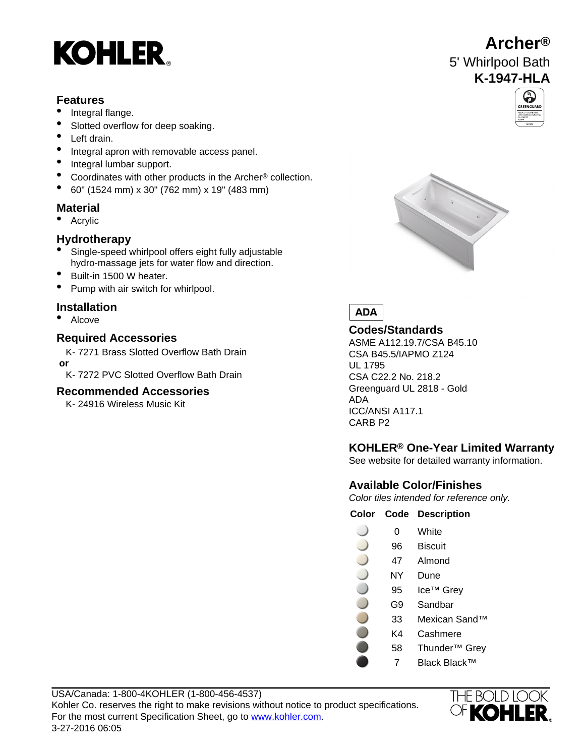# **KOHLER**

### **Features**

- Integral flange.
- Slotted overflow for deep soaking.
- Left drain.
- Integral apron with removable access panel.
- Integral lumbar support.
- Coordinates with other products in the Archer® collection.
- 60" (1524 mm) x 30" (762 mm) x 19" (483 mm)

### **Material**

• Acrylic

### **Hydrotherapy**

- Single-speed whirlpool offers eight fully adjustable hydro-massage jets for water flow and direction.
- Built-in 1500 W heater.
- Pump with air switch for whirlpool.

### **Installation**

• Alcove

# **Codes/Standards Required Accessories**

K- 7271 Brass Slotted Overflow Bath Drain  **or**

K- 7272 PVC Slotted Overflow Bath Drain

### **Recommended Accessories**

K- 24916 Wireless Music Kit





ASME A112.19.7/CSA B45.10 CSA B45.5/IAPMO Z124 UL 1795 CSA C22.2 No. 218.2 Greenguard UL 2818 - Gold ADA ICC/ANSI A117.1 CARB P2

### **KOHLER® One-Year Limited Warranty**

See website for detailed warranty information.

### **Available Color/Finishes**

Color tiles intended for reference only.

### **Color Code Description**

- 0 White
- 96 Biscuit
- 47 Almond
- NY Dune
- 95 Ice™ Grey
- G9 Sandbar
- 33 Mexican Sand™
- K4 Cashmere
- 58 Thunder™ Grey
	- 7 Black Black™